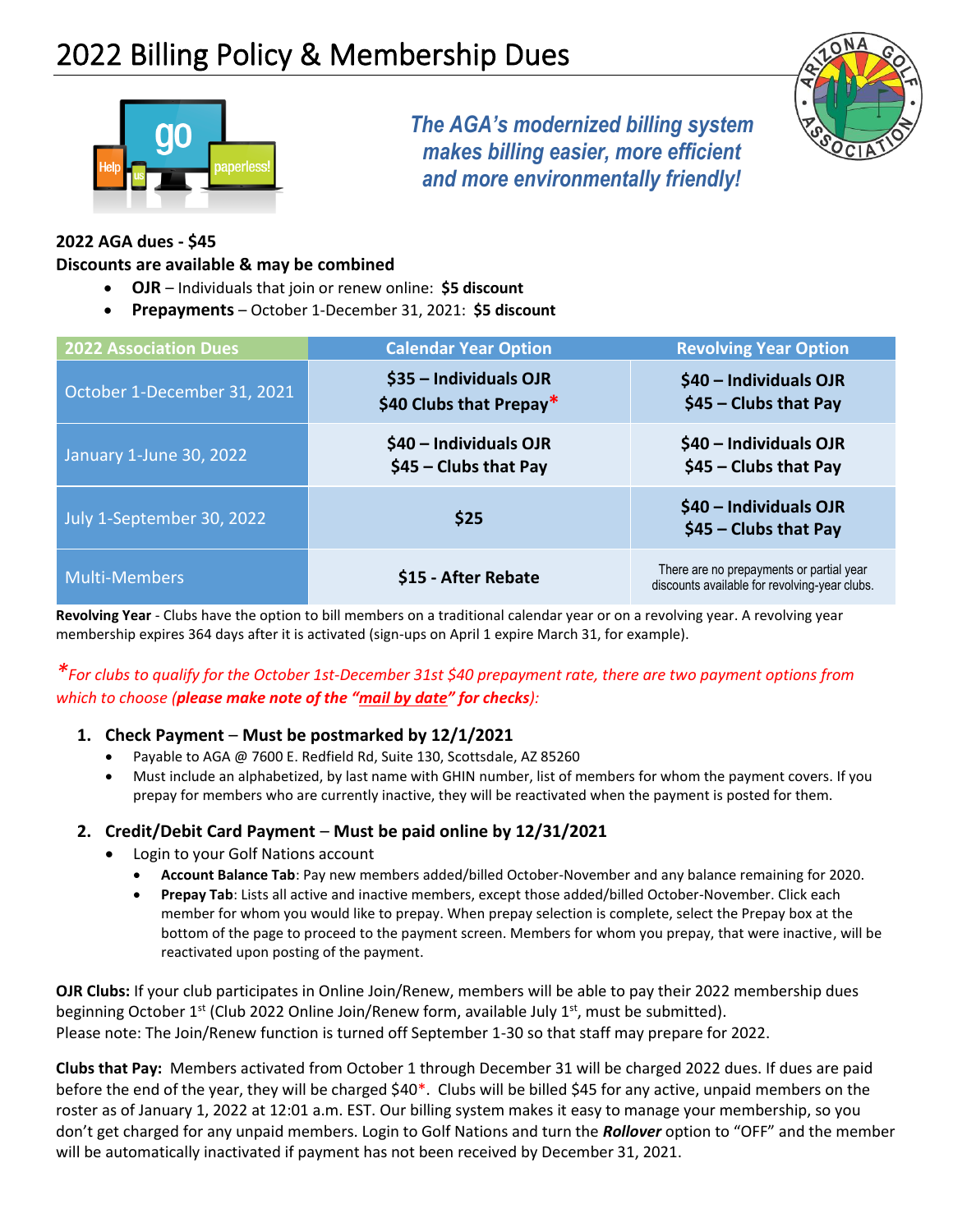

*The AGA's modernized billing system makes billing easier, more efficient and more environmentally friendly!*



### **2022 AGA dues - \$45**

#### **Discounts are available & may be combined**

- **OJR** Individuals that join or renew online: **\$5 discount**
- **Prepayments** October 1-December 31, 2021: **\$5 discount**

| <b>2022 Association Dues</b> | <b>Calendar Year Option</b>                       | <b>Revolving Year Option</b>                                                              |
|------------------------------|---------------------------------------------------|-------------------------------------------------------------------------------------------|
| October 1-December 31, 2021  | \$35 - Individuals OJR<br>\$40 Clubs that Prepay* | \$40 - Individuals OJR<br>$$45$ - Clubs that Pay                                          |
| January 1-June 30, 2022      | \$40 - Individuals OJR<br>\$45 - Clubs that Pay   | \$40 - Individuals OJR<br>$$45$ - Clubs that Pay                                          |
| July 1-September 30, 2022    | \$25                                              | \$40 - Individuals OJR<br>$$45$ - Clubs that Pay                                          |
| <b>Multi-Members</b>         | \$15 - After Rebate                               | There are no prepayments or partial year<br>discounts available for revolving-year clubs. |

**Revolving Year** - Clubs have the option to bill members on a traditional calendar year or on a revolving year. A revolving year membership expires 364 days after it is activated (sign-ups on April 1 expire March 31, for example).

## *\*For clubs to qualify for the October 1st-December 31st \$40 prepayment rate, there are two payment options from which to choose (please make note of the "mail by date" for checks):*

#### **1. Check Payment** – **Must be postmarked by 12/1/2021**

- Payable to AGA @ 7600 E. Redfield Rd, Suite 130, Scottsdale, AZ 85260
- Must include an alphabetized, by last name with GHIN number, list of members for whom the payment covers. If you prepay for members who are currently inactive, they will be reactivated when the payment is posted for them.

#### **2. Credit/Debit Card Payment** – **Must be paid online by 12/31/2021**

- Login to your Golf Nations account
	- **Account Balance Tab**: Pay new members added/billed October-November and any balance remaining for 2020.
	- **Prepay Tab**: Lists all active and inactive members, except those added/billed October-November. Click each member for whom you would like to prepay. When prepay selection is complete, select the Prepay box at the bottom of the page to proceed to the payment screen. Members for whom you prepay, that were inactive, will be reactivated upon posting of the payment.

**OJR Clubs:** If your club participates in Online Join/Renew, members will be able to pay their 2022 membership dues beginning October 1<sup>st</sup> (Club 2022 Online Join/Renew form, available July 1<sup>st</sup>, must be submitted). Please note: The Join/Renew function is turned off September 1-30 so that staff may prepare for 2022.

**Clubs that Pay:** Members activated from October 1 through December 31 will be charged 2022 dues. If dues are paid before the end of the year, they will be charged \$40\*. Clubs will be billed \$45 for any active, unpaid members on the roster as of January 1, 2022 at 12:01 a.m. EST. Our billing system makes it easy to manage your membership, so you don't get charged for any unpaid members. Login to Golf Nations and turn the *Rollover* option to "OFF" and the member will be automatically inactivated if payment has not been received by December 31, 2021.